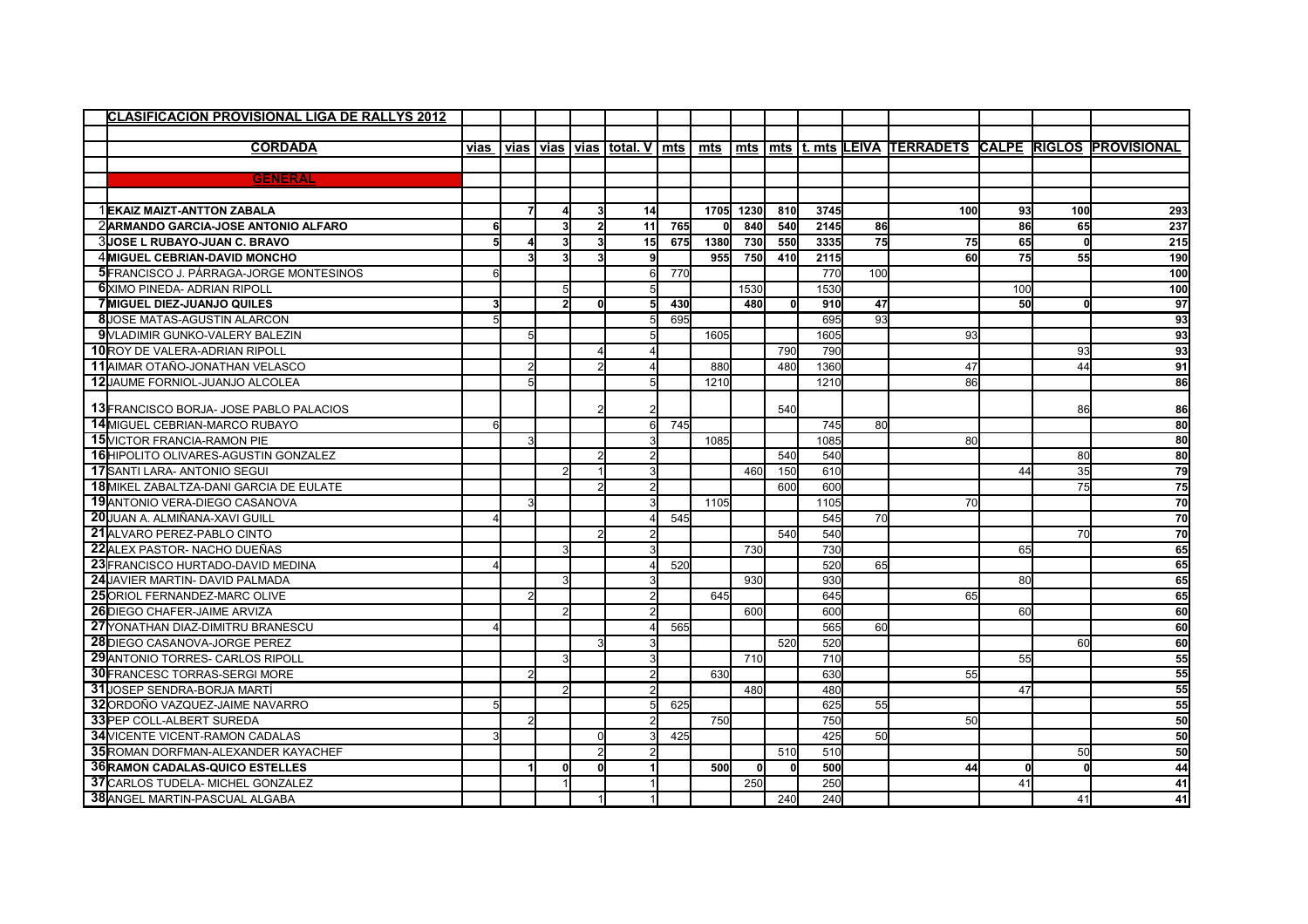| <b>CLASIFICACION PROVISIONAL LIGA DE RALLYS 2012</b> |      |                |                |             |          |       |            |           |          |      |     |     |     |              |                                                             |
|------------------------------------------------------|------|----------------|----------------|-------------|----------|-------|------------|-----------|----------|------|-----|-----|-----|--------------|-------------------------------------------------------------|
|                                                      |      |                |                |             |          |       |            |           |          |      |     |     |     |              |                                                             |
| <b>CORDADA</b>                                       | vias | vias           |                | vias   vias | total. V | l mts | mts        |           |          |      |     |     |     |              | mts   mts   t. mts LEIVA TERRADETS CALPE RIGLOS PROVISIONAL |
|                                                      |      |                |                |             |          |       |            |           |          |      |     |     |     |              |                                                             |
| <b>GENERAL</b>                                       |      |                |                |             |          |       |            |           |          |      |     |     |     |              |                                                             |
|                                                      |      |                |                |             |          |       |            |           |          |      |     |     |     |              |                                                             |
| 1 EKAIZ MAIZT-ANTTON ZABALA                          |      | $\overline{7}$ |                |             | 14       |       |            | 1705 1230 | 810      | 3745 |     | 100 | 93  | 100          | 293                                                         |
| 2 ARMANDO GARCIA-JOSE ANTONIO ALFARO                 | 6    |                | 3              |             | 11       | 765   | U          | 840       | 540      | 2145 | 86  |     | 86  | 65           | 237                                                         |
| 3 JOSE L RUBAYO-JUAN C. BRAVO                        |      |                |                |             | 15       | 675   | 1380       | 730       | 550      | 3335 | 75  | 75  | 65  |              | 215                                                         |
| 4 MIGUEL CEBRIAN-DAVID MONCHO                        |      |                |                |             |          |       | 955        | 750       | 410      | 2115 |     | 60  | 75  | 55           | 190                                                         |
| 5 FRANCISCO J. PÁRRAGA-JORGE MONTESINOS              |      |                |                |             | 61       | 770   |            |           |          | 770  | 100 |     |     |              | 100                                                         |
| <b>6</b> XIMO PINEDA- ADRIAN RIPOLL                  |      |                | 5              |             |          |       |            | 1530      |          | 1530 |     |     | 100 |              | 100                                                         |
| 7 MIGUEL DIEZ-JUANJO QUILES                          |      |                |                |             | 51       | 430   |            | 480       | $\Omega$ | 910  | 47  |     | 50  | <sup>0</sup> | 97                                                          |
| 8JOSE MATAS-AGUSTIN ALARCON                          |      |                |                |             |          | 695   |            |           |          | 695  | 93  |     |     |              | 93                                                          |
| 9 VLADIMIR GUNKO-VALERY BALEZIN                      |      | 5              |                |             |          |       | 1605       |           |          | 1605 |     | 93  |     |              | 93                                                          |
| <b>10</b> ROY DE VALERA-ADRIAN RIPOLL                |      |                |                |             |          |       |            |           | 790      | 790  |     |     |     | 93           | 93                                                          |
| 11 AIMAR OTAÑO-JONATHAN VELASCO                      |      |                |                |             |          |       | 880        |           | 480      | 1360 |     | 47  |     | 44           | 91                                                          |
| 12 JAUME FORNIOL-JUANJO ALCOLEA                      |      |                |                |             |          |       | 1210       |           |          | 1210 |     | 86  |     |              | 86                                                          |
| 13 FRANCISCO BORJA- JOSE PABLO PALACIOS              |      |                |                |             |          |       |            |           | 540      |      |     |     |     | 86           | 86                                                          |
| 14 MIGUEL CEBRIAN-MARCO RUBAYO                       |      |                |                |             | 61       | 745   |            |           |          | 745  | 80  |     |     |              | 80                                                          |
| 15 VICTOR FRANCIA-RAMON PIE                          |      | κ              |                |             |          |       | 1085       |           |          | 1085 |     | 80  |     |              | 80                                                          |
| <b>16</b> HIPOLITO OLIVARES-AGUSTIN GONZALEZ         |      |                |                |             | 21       |       |            |           | 540      | 540  |     |     |     | 80           | 80                                                          |
| 17 SANTI LARA- ANTONIO SEGUI                         |      |                |                |             |          |       |            | 460       | 150      | 610  |     |     | 44  | 35           | 79                                                          |
| <b>18</b> MIKEL ZABALTZA-DANI GARCIA DE EULATE       |      |                |                |             |          |       |            |           | 600      | 600  |     |     |     | 75           | 75                                                          |
| 19 ANTONIO VERA-DIEGO CASANOVA                       |      |                |                |             |          |       | 1105       |           |          | 1105 |     | 70  |     |              | 70                                                          |
| 20 JUAN A. ALMIÑANA-XAVI GUILL                       |      |                |                |             |          | 545   |            |           |          | 545  | 70l |     |     |              | 70                                                          |
| 21 ALVARO PEREZ-PABLO CINTO                          |      |                |                |             |          |       |            |           | 540      | 540  |     |     |     | 70           | 70                                                          |
| 22 ALEX PASTOR- NACHO DUEÑAS                         |      |                |                |             |          |       |            | 730       |          | 730  |     |     | 65  |              | 65                                                          |
| 23 FRANCISCO HURTADO-DAVID MEDINA                    |      |                |                |             |          | 520   |            |           |          | 520  | 65  |     |     |              | 65                                                          |
| 24 JAVIER MARTIN- DAVID PALMADA                      |      |                | 3              |             |          |       |            | 930       |          | 930  |     |     | 80  |              | 65                                                          |
| 25 ORIOL FERNANDEZ-MARC OLIVE                        |      |                |                |             |          |       | 645        |           |          | 645  |     | 65  |     |              | 65                                                          |
| <b>26</b> DIEGO CHAFER-JAIME ARVIZA                  |      |                |                |             |          |       |            | 600       |          | 600  |     |     | 60  |              | 60                                                          |
| 27 YONATHAN DIAZ-DIMITRU BRANESCU                    |      |                |                |             |          | 565   |            |           |          | 565  | 60  |     |     |              | 60                                                          |
| 28 DIEGO CASANOVA-JORGE PEREZ                        |      |                |                |             |          |       |            |           | 520      | 520  |     |     |     | 60           | 60                                                          |
| 29 ANTONIO TORRES- CARLOS RIPOLL                     |      |                |                |             |          |       |            | 710       |          | 710  |     |     | 55  |              | 55                                                          |
| <b>30 FRANCESC TORRAS-SERGI MORE</b>                 |      |                |                |             |          |       | 630        |           |          | 630  |     | 55  |     |              | 55                                                          |
| 31 JOSEP SENDRA-BORJA MARTÍ                          |      |                | $\overline{2}$ |             | 2        |       |            | 480       |          | 480  |     |     | 47  |              | 55                                                          |
| 32 ORDOÑO VAZQUEZ-JAIME NAVARRO                      |      |                |                |             |          | 625   |            |           |          | 625  | 55  |     |     |              | 55                                                          |
| <b>33 PEP COLL-ALBERT SUREDA</b>                     |      | $\mathcal{P}$  |                |             |          |       | 750        |           |          | 750  |     | 50  |     |              | 50                                                          |
| <b>34 VICENTE VICENT-RAMON CADALAS</b>               |      |                |                |             |          | 425   |            |           |          | 425  | 50  |     |     |              | 50                                                          |
| 35 ROMAN DORFMAN-ALEXANDER KAYACHEF                  |      |                |                |             |          |       |            |           | 510      | 510  |     |     |     | 50           | 50                                                          |
| <b>36 RAMON CADALAS-QUICO ESTELLES</b>               |      |                | $\Omega$       |             |          |       | <b>500</b> | $\Omega$  |          | 500  |     | 44  |     |              | 44                                                          |
| 37 CARLOS TUDELA- MICHEL GONZALEZ                    |      |                |                |             |          |       |            | 250       |          | 250  |     |     | 41  |              | 41                                                          |
| <b>38</b> ANGEL MARTIN-PASCUAL ALGABA                |      |                |                |             |          |       |            |           | 240      | 240  |     |     |     | 41           | 41                                                          |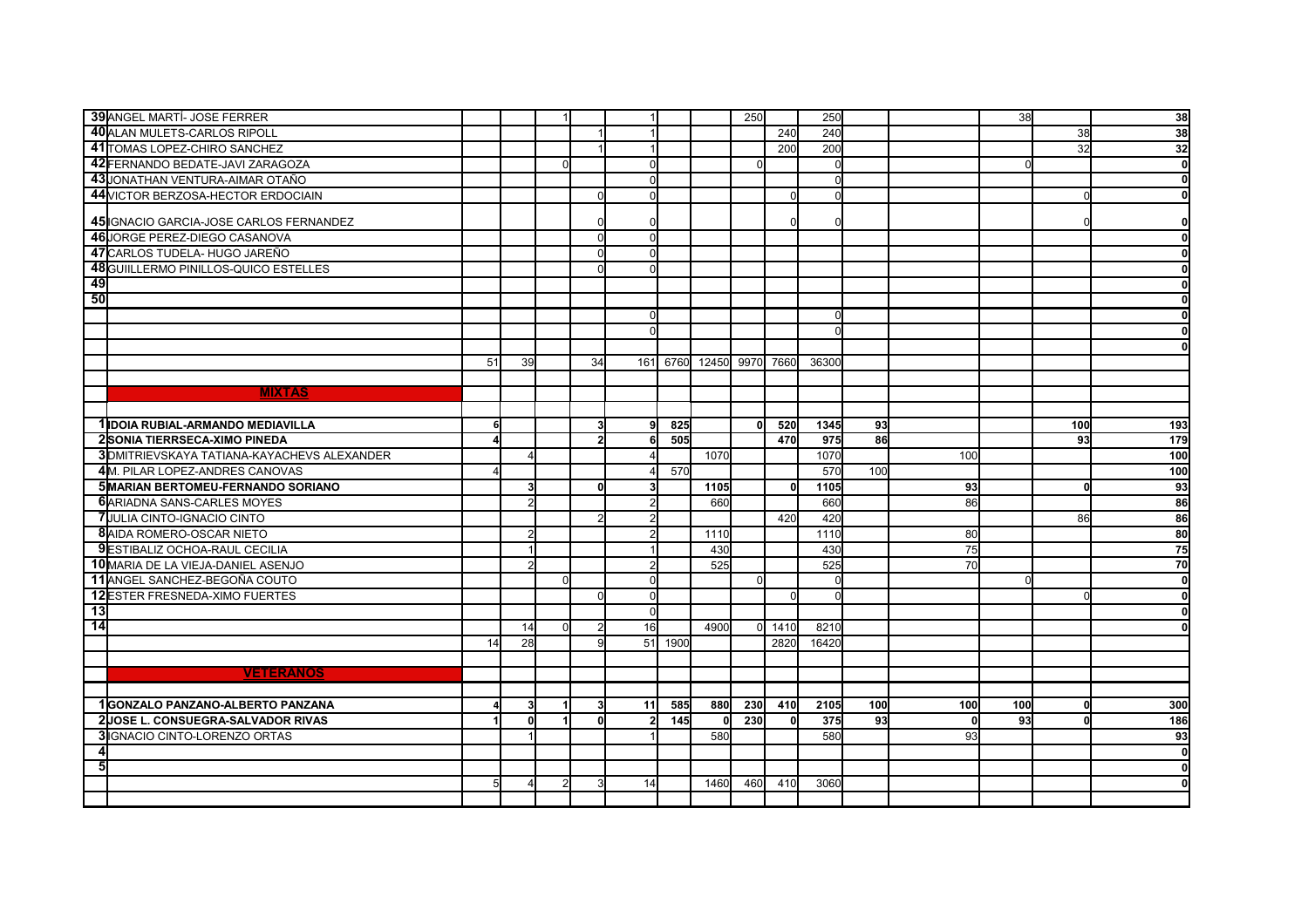| 39 ANGEL MARTÍ- JOSE FERRER                 |    |    |          |    |          |          |            | 250      |      | 250          |     |     | 38  |              | 38           |
|---------------------------------------------|----|----|----------|----|----------|----------|------------|----------|------|--------------|-----|-----|-----|--------------|--------------|
| 40 ALAN MULETS-CARLOS RIPOLL                |    |    |          |    |          |          |            |          | 240  | 240          |     |     |     | 38           | 38           |
| 41 TOMAS LOPEZ-CHIRO SANCHEZ                |    |    |          |    |          |          |            |          | 200  | 200          |     |     |     | 32           | 32           |
| 42 FERNANDO BEDATE-JAVI ZARAGOZA            |    |    |          |    |          |          |            |          |      | $\Omega$     |     |     |     |              | $\mathbf 0$  |
| 43 JONATHAN VENTURA-AIMAR OTAÑO             |    |    |          |    |          |          |            |          |      | $\Omega$     |     |     |     |              | $\mathbf 0$  |
| 44 VICTOR BERZOSA-HECTOR ERDOCIAIN          |    |    |          |    |          |          |            |          |      |              |     |     |     |              | $\mathbf{0}$ |
|                                             |    |    |          |    |          |          |            |          |      |              |     |     |     |              |              |
| 45 IGNACIO GARCIA-JOSE CARLOS FERNANDEZ     |    |    |          |    |          |          |            |          |      |              |     |     |     |              | $\mathbf 0$  |
| 46 JORGE PEREZ-DIEGO CASANOVA               |    |    |          |    |          |          |            |          |      |              |     |     |     |              | $\mathbf{0}$ |
| 47 CARLOS TUDELA- HUGO JAREÑO               |    |    |          |    | U        |          |            |          |      |              |     |     |     |              | $\mathbf 0$  |
| 48 GUIILLERMO PINILLOS-QUICO ESTELLES       |    |    |          |    | $\Omega$ |          |            |          |      |              |     |     |     |              | $\mathbf{0}$ |
| 49                                          |    |    |          |    |          |          |            |          |      |              |     |     |     |              | $\mathbf{0}$ |
| 50                                          |    |    |          |    |          |          |            |          |      |              |     |     |     |              | $\mathbf 0$  |
|                                             |    |    |          |    | n        |          |            |          |      | <sup>0</sup> |     |     |     |              | $\mathbf 0$  |
|                                             |    |    |          |    |          |          |            |          |      |              |     |     |     |              |              |
|                                             |    |    |          |    |          |          |            |          |      |              |     |     |     |              | $\Omega$     |
|                                             | 51 | 39 |          | 34 |          | 161 6760 | 12450 9970 |          | 7660 | 36300        |     |     |     |              |              |
|                                             |    |    |          |    |          |          |            |          |      |              |     |     |     |              |              |
| <b>MIXTAS</b>                               |    |    |          |    |          |          |            |          |      |              |     |     |     |              |              |
|                                             |    |    |          |    |          |          |            |          |      |              |     |     |     |              |              |
| 1 IDOIA RUBIAL-ARMANDO MEDIAVILLA           |    |    |          |    | 9l       | 825      |            |          | 520  | 1345         | 93  |     |     | 100          | 193          |
| 2SONIA TIERRSECA-XIMO PINEDA                |    |    |          |    | 6l       | 505      |            |          | 470  | 975          | 86  |     |     | 93           | 179          |
| 3 DMITRIEVSKAYA TATIANA-KAYACHEVS ALEXANDER |    | Δ  |          |    |          |          | 1070       |          |      | 1070         |     | 100 |     |              | 100          |
| 4M. PILAR LOPEZ-ANDRES CANOVAS              |    |    |          |    |          | 570      |            |          |      | 570          | 100 |     |     |              | 100          |
| 5 MARIAN BERTOMEU-FERNANDO SORIANO          |    | 3  |          | ΩI |          |          | 1105       |          | 0l   | 1105         |     | 93  |     | <sup>0</sup> | 93           |
| <b>6</b> ARIADNA SANS-CARLES MOYES          |    |    |          |    | っ        |          | 660        |          |      | 660          |     | 86  |     |              | 86           |
| <b>7</b> JULIA CINTO-IGNACIO CINTO          |    |    |          |    |          |          |            |          | 420  | 420          |     |     |     | 86           | 86           |
| 8 AIDA ROMERO-OSCAR NIETO                   |    | 2  |          |    |          |          | 1110       |          |      | 1110         |     | 80  |     |              | 80           |
| <b>9</b> ESTIBALIZ OCHOA-RAUL CECILIA       |    |    |          |    |          |          | 430        |          |      | 430          |     | 75  |     |              | 75           |
| 10 MARIA DE LA VIEJA-DANIEL ASENJO          |    |    |          |    |          |          | 525        |          |      | 525          |     | 70  |     |              | 70           |
| 11 ANGEL SANCHEZ-BEGOÑA COUTO               |    |    | $\Omega$ |    |          |          |            | $\Omega$ |      | C            |     |     |     |              | $\mathbf 0$  |
| <b>12 ESTER FRESNEDA-XIMO FUERTES</b>       |    |    |          |    | $\Omega$ |          |            |          |      | ΩI           |     |     |     |              | $\mathbf{0}$ |
| 13                                          |    |    |          |    |          |          |            |          |      |              |     |     |     |              | $\Omega$     |
| $\overline{14}$                             |    | 14 | $\Omega$ |    | 16       |          |            | $\Omega$ | 1410 |              |     |     |     |              | $\Omega$     |
|                                             |    |    |          |    |          |          | 4900       |          |      | 8210         |     |     |     |              |              |
|                                             | 14 | 28 |          |    |          | 51 1900  |            |          | 2820 | 16420        |     |     |     |              |              |
|                                             |    |    |          |    |          |          |            |          |      |              |     |     |     |              |              |
| <b>VETERANOS</b>                            |    |    |          |    |          |          |            |          |      |              |     |     |     |              |              |
|                                             |    |    |          |    |          |          |            |          |      |              |     |     |     |              |              |
| 1GONZALO PANZANO-ALBERTO PANZANA            |    | 3  |          |    | 11       | 585      | 880        | 230      | 410  | 2105         | 100 | 100 | 100 | <sup>0</sup> | 300          |
| 2JOSE L. CONSUEGRA-SALVADOR RIVAS           |    | 0  |          | U  | 21       | 145      | 0l         | 230      |      | 375          | 93  | 0   | 93  | <sub>0</sub> | 186          |
| <b>3</b> IIGNACIO CINTO-LORENZO ORTAS       |    |    |          |    |          |          | 580        |          |      | 580          |     | 93  |     |              | 93           |
|                                             |    |    |          |    |          |          |            |          |      |              |     |     |     |              | $\mathbf{0}$ |
|                                             |    |    |          |    |          |          |            |          |      |              |     |     |     |              | $\mathbf{0}$ |
|                                             |    |    |          |    | 14       |          | 1460       | 460      | 410  | 3060         |     |     |     |              | $\mathbf{0}$ |
|                                             |    |    |          |    |          |          |            |          |      |              |     |     |     |              |              |